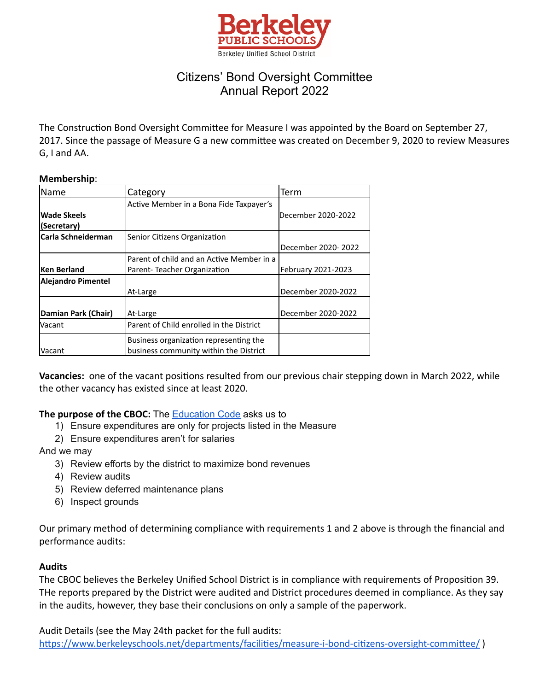

# Citizens' Bond Oversight Committee Annual Report 2022

The Construction Bond Oversight Committee for Measure I was appointed by the Board on September 27, 2017. Since the passage of Measure G a new committee was created on December 9, 2020 to review Measures G, I and AA.

#### **Membership**:

| <b>Name</b>         | Category                                  | Term               |
|---------------------|-------------------------------------------|--------------------|
|                     | Active Member in a Bona Fide Taxpayer's   |                    |
| Wade Skeels         |                                           | December 2020-2022 |
| (Secretary)         |                                           |                    |
| lCarla Schneiderman | Senior Citizens Organization              |                    |
|                     |                                           | December 2020-2022 |
|                     | Parent of child and an Active Member in a |                    |
| <b>Ken Berland</b>  | Parent-Teacher Organization               | February 2021-2023 |
| Alejandro Pimentel  |                                           |                    |
|                     | At-Large                                  | December 2020-2022 |
|                     |                                           |                    |
| Damian Park (Chair) | At-Large                                  | December 2020-2022 |
| Vacant              | Parent of Child enrolled in the District  |                    |
|                     | Business organization representing the    |                    |
| <b>Vacant</b>       | business community within the District    |                    |

**Vacancies:** one of the vacant positions resulted from our previous chair stepping down in March 2022, while the other vacancy has existed since at least 2020.

### **The purpose of the CBOC:** The [Education](https://leginfo.legislature.ca.gov/faces/codes_displaySection.xhtml?lawCode=EDC§ionNum=15278) Code asks us to

- 1) Ensure expenditures are only for projects listed in the Measure
- 2) Ensure expenditures aren't for salaries

And we may

- 3) Review efforts by the district to maximize bond revenues
- 4) Review audits
- 5) Review deferred maintenance plans
- 6) Inspect grounds

Our primary method of determining compliance with requirements 1 and 2 above is through the financial and performance audits:

### **Audits**

The CBOC believes the Berkeley Unified School District is in compliance with requirements of Proposition 39. THe reports prepared by the District were audited and District procedures deemed in compliance. As they say in the audits, however, they base their conclusions on only a sample of the paperwork.

Audit Details (see the May 24th packet for the full audits:

https://www.berkeleyschools.net/departments/facilities/measure-i-bond-citizens-oversight-committee/)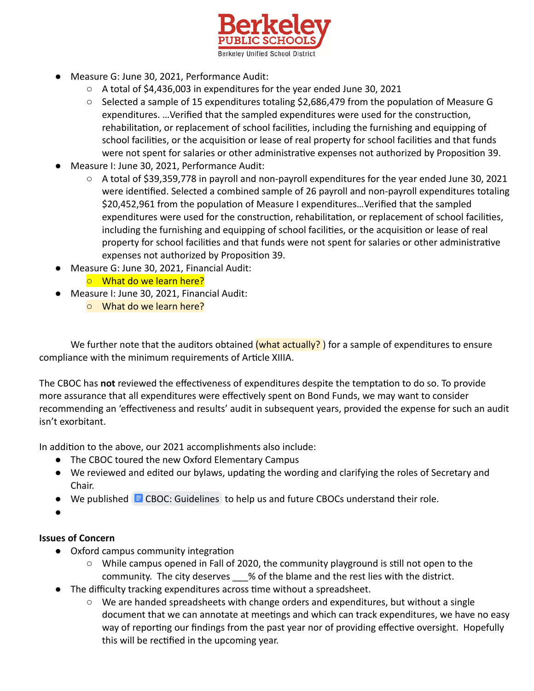

- Measure G: June 30, 2021, Performance Audit:
	- A total of \$4,436,003 in expenditures for the year ended June 30, 2021
	- Selected a sample of 15 expenditures totaling \$2,686,479 from the population of Measure G expenditures. ... Verified that the sampled expenditures were used for the construction, rehabilitation, or replacement of school facilities, including the furnishing and equipping of school facilities, or the acquisition or lease of real property for school facilities and that funds were not spent for salaries or other administrative expenses not authorized by Proposition 39.
- Measure I: June 30, 2021, Performance Audit:
	- A total of \$39,359,778 in payroll and non-payroll expenditures for the year ended June 30, 2021 were identified. Selected a combined sample of 26 payroll and non-payroll expenditures totaling \$20,452,961 from the population of Measure I expenditures... Verified that the sampled expenditures were used for the construction, rehabilitation, or replacement of school facilities, including the furnishing and equipping of school facilities, or the acquisition or lease of real property for school facilities and that funds were not spent for salaries or other administrative expenses not authorized by Proposition 39.
- Measure G: June 30, 2021, Financial Audit:
	- What do we learn here?
- Measure I: June 30, 2021, Financial Audit:
	- What do we learn here?

We further note that the auditors obtained (what actually?) for a sample of expenditures to ensure compliance with the minimum requirements of Article XIIIA.

The CBOC has not reviewed the effectiveness of expenditures despite the temptation to do so. To provide more assurance that all expenditures were effectively spent on Bond Funds, we may want to consider recommending an 'effectiveness and results' audit in subsequent years, provided the expense for such an audit isn't exorbitant.

In addition to the above, our 2021 accomplishments also include:

- The CBOC toured the new Oxford Elementary Campus
- We reviewed and edited our bylaws, updating the wording and clarifying the roles of Secretary and Chair.
- $\bullet$  We published  $\blacksquare$  [CBOC: Guidelines](https://docs.google.com/document/d/1kN3MZ0Ehy1J5u5eTfgJ3BjDo30LTQGRpvZ4X-lfnI5M/edit) to help us and future CBOCs understand their role.
- ●

## **Issues of Concern**

- Oxford campus community integration
	- $\circ$  While campus opened in Fall of 2020, the community playground is still not open to the community. The city deserves \_\_\_% of the blame and the rest lies with the district.
- The difficulty tracking expenditures across time without a spreadsheet.
	- We are handed spreadsheets with change orders and expenditures, but without a single document that we can annotate at meetings and which can track expenditures, we have no easy way of reporting our findings from the past year nor of providing effective oversight. Hopefully this will be rectified in the upcoming year.